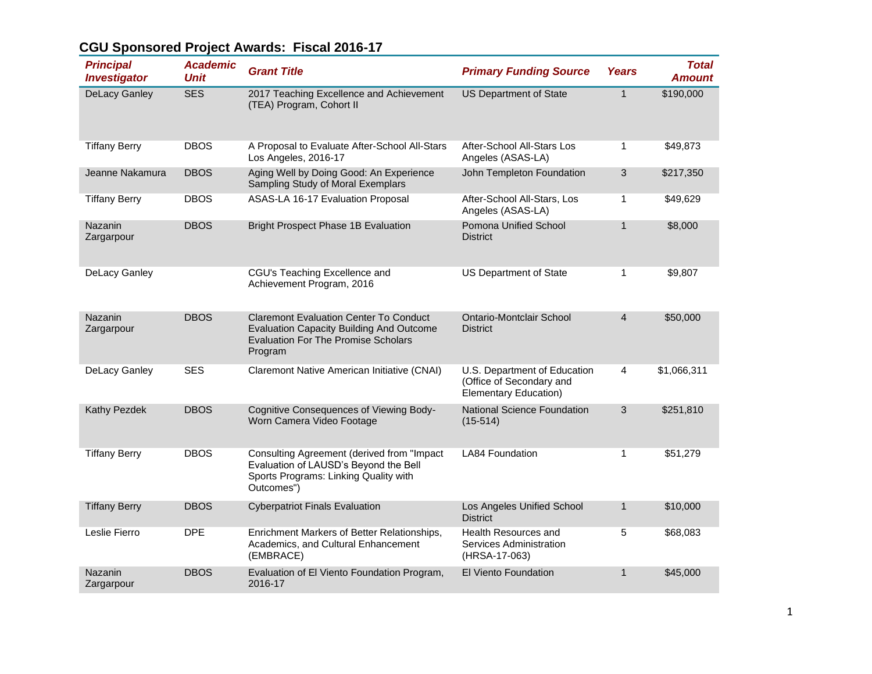| <b>Principal</b><br><b>Investigator</b> | <b>Academic</b><br><b>Unit</b> | <b>Grant Title</b>                                                                                                                                        | <b>Primary Funding Source</b>                                                            | <b>Years</b>   | <b>Total</b><br><b>Amount</b> |
|-----------------------------------------|--------------------------------|-----------------------------------------------------------------------------------------------------------------------------------------------------------|------------------------------------------------------------------------------------------|----------------|-------------------------------|
| <b>DeLacy Ganley</b>                    | <b>SES</b>                     | 2017 Teaching Excellence and Achievement<br>(TEA) Program, Cohort II                                                                                      | <b>US Department of State</b>                                                            | $\mathbf{1}$   | \$190,000                     |
| <b>Tiffany Berry</b>                    | <b>DBOS</b>                    | A Proposal to Evaluate After-School All-Stars<br>Los Angeles, 2016-17                                                                                     | After-School All-Stars Los<br>Angeles (ASAS-LA)                                          | 1              | \$49,873                      |
| Jeanne Nakamura                         | <b>DBOS</b>                    | Aging Well by Doing Good: An Experience<br>Sampling Study of Moral Exemplars                                                                              | John Templeton Foundation                                                                | 3              | \$217,350                     |
| <b>Tiffany Berry</b>                    | <b>DBOS</b>                    | ASAS-LA 16-17 Evaluation Proposal                                                                                                                         | After-School All-Stars, Los<br>Angeles (ASAS-LA)                                         | 1              | \$49,629                      |
| Nazanin<br>Zargarpour                   | <b>DBOS</b>                    | <b>Bright Prospect Phase 1B Evaluation</b>                                                                                                                | Pomona Unified School<br><b>District</b>                                                 | $\mathbf{1}$   | \$8,000                       |
| DeLacy Ganley                           |                                | CGU's Teaching Excellence and<br>Achievement Program, 2016                                                                                                | US Department of State                                                                   | $\mathbf{1}$   | \$9,807                       |
| Nazanin<br>Zargarpour                   | <b>DBOS</b>                    | <b>Claremont Evaluation Center To Conduct</b><br><b>Evaluation Capacity Building And Outcome</b><br><b>Evaluation For The Promise Scholars</b><br>Program | Ontario-Montclair School<br><b>District</b>                                              | $\overline{4}$ | \$50,000                      |
| DeLacy Ganley                           | <b>SES</b>                     | Claremont Native American Initiative (CNAI)                                                                                                               | U.S. Department of Education<br>(Office of Secondary and<br><b>Elementary Education)</b> | 4              | \$1,066,311                   |
| Kathy Pezdek                            | <b>DBOS</b>                    | Cognitive Consequences of Viewing Body-<br>Worn Camera Video Footage                                                                                      | <b>National Science Foundation</b><br>$(15-514)$                                         | 3              | \$251,810                     |
| <b>Tiffany Berry</b>                    | <b>DBOS</b>                    | Consulting Agreement (derived from "Impact<br>Evaluation of LAUSD's Beyond the Bell<br>Sports Programs: Linking Quality with<br>Outcomes")                | <b>LA84 Foundation</b>                                                                   | 1              | \$51,279                      |
| <b>Tiffany Berry</b>                    | <b>DBOS</b>                    | <b>Cyberpatriot Finals Evaluation</b>                                                                                                                     | Los Angeles Unified School<br><b>District</b>                                            | $\mathbf{1}$   | \$10,000                      |
| Leslie Fierro                           | <b>DPE</b>                     | Enrichment Markers of Better Relationships,<br>Academics, and Cultural Enhancement<br>(EMBRACE)                                                           | Health Resources and<br>Services Administration<br>(HRSA-17-063)                         | 5              | \$68,083                      |
| <b>Nazanin</b><br>Zargarpour            | <b>DBOS</b>                    | Evaluation of El Viento Foundation Program,<br>2016-17                                                                                                    | <b>El Viento Foundation</b>                                                              | 1              | \$45,000                      |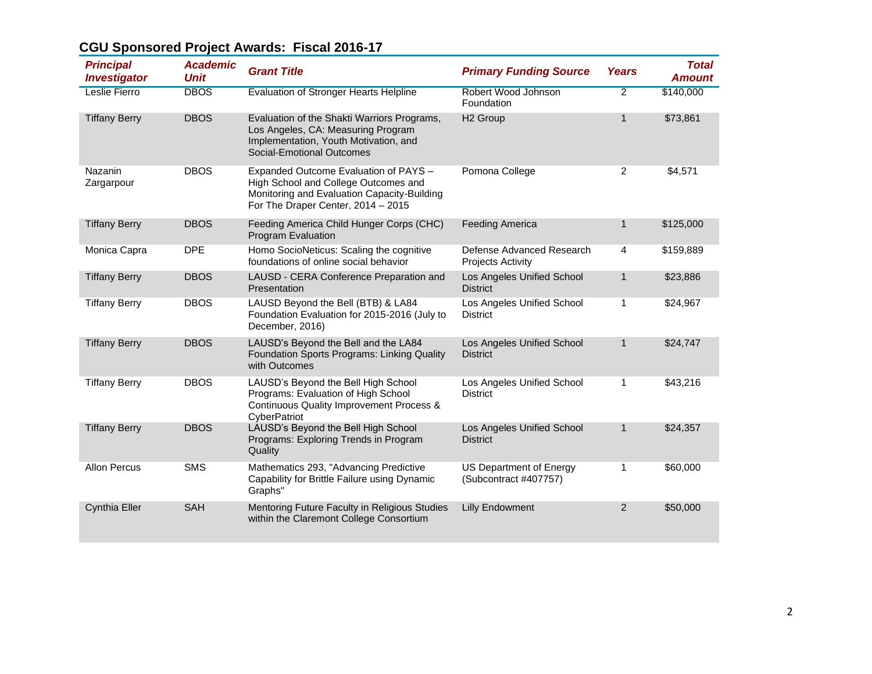| <b>Principal</b><br><i><b>Investigator</b></i> | <b>Academic</b><br><b>Unit</b> | <b>Grant Title</b>                                                                                                                                                 | <b>Primary Funding Source</b>                         | <b>Years</b>   | <b>Total</b><br><b>Amount</b> |
|------------------------------------------------|--------------------------------|--------------------------------------------------------------------------------------------------------------------------------------------------------------------|-------------------------------------------------------|----------------|-------------------------------|
| <b>Leslie Fierro</b>                           | <b>DBOS</b>                    | <b>Evaluation of Stronger Hearts Helpline</b>                                                                                                                      | Robert Wood Johnson<br>Foundation                     | $\overline{2}$ | \$140,000                     |
| <b>Tiffany Berry</b>                           | <b>DBOS</b>                    | Evaluation of the Shakti Warriors Programs,<br>Los Angeles, CA: Measuring Program<br>Implementation, Youth Motivation, and<br>Social-Emotional Outcomes            | H <sub>2</sub> Group                                  | $\mathbf{1}$   | \$73,861                      |
| Nazanin<br>Zargarpour                          | <b>DBOS</b>                    | Expanded Outcome Evaluation of PAYS -<br>High School and College Outcomes and<br>Monitoring and Evaluation Capacity-Building<br>For The Draper Center, 2014 - 2015 | Pomona College                                        | 2              | \$4,571                       |
| <b>Tiffany Berry</b>                           | <b>DBOS</b>                    | Feeding America Child Hunger Corps (CHC)<br>Program Evaluation                                                                                                     | <b>Feeding America</b>                                | $\mathbf{1}$   | \$125,000                     |
| Monica Capra                                   | <b>DPE</b>                     | Homo SocioNeticus: Scaling the cognitive<br>foundations of online social behavior                                                                                  | Defense Advanced Research<br><b>Projects Activity</b> | 4              | \$159,889                     |
| <b>Tiffany Berry</b>                           | <b>DBOS</b>                    | LAUSD - CERA Conference Preparation and<br>Presentation                                                                                                            | Los Angeles Unified School<br><b>District</b>         | 1              | \$23,886                      |
| <b>Tiffany Berry</b>                           | <b>DBOS</b>                    | LAUSD Beyond the Bell (BTB) & LA84<br>Foundation Evaluation for 2015-2016 (July to<br>December, 2016)                                                              | Los Angeles Unified School<br><b>District</b>         | 1              | \$24,967                      |
| <b>Tiffany Berry</b>                           | <b>DBOS</b>                    | LAUSD's Beyond the Bell and the LA84<br>Foundation Sports Programs: Linking Quality<br>with Outcomes                                                               | Los Angeles Unified School<br><b>District</b>         | $\mathbf{1}$   | \$24,747                      |
| <b>Tiffany Berry</b>                           | <b>DBOS</b>                    | LAUSD's Beyond the Bell High School<br>Programs: Evaluation of High School<br>Continuous Quality Improvement Process &<br>CyberPatriot                             | Los Angeles Unified School<br><b>District</b>         | 1              | \$43,216                      |
| <b>Tiffany Berry</b>                           | <b>DBOS</b>                    | LAUSD's Beyond the Bell High School<br>Programs: Exploring Trends in Program<br>Quality                                                                            | Los Angeles Unified School<br><b>District</b>         | $\mathbf{1}$   | \$24,357                      |
| Allon Percus                                   | <b>SMS</b>                     | Mathematics 293, "Advancing Predictive<br>Capability for Brittle Failure using Dynamic<br>Graphs"                                                                  | US Department of Energy<br>(Subcontract #407757)      | 1              | \$60,000                      |
| <b>Cynthia Eller</b>                           | <b>SAH</b>                     | Mentoring Future Faculty in Religious Studies<br>within the Claremont College Consortium                                                                           | <b>Lilly Endowment</b>                                | $\overline{2}$ | \$50,000                      |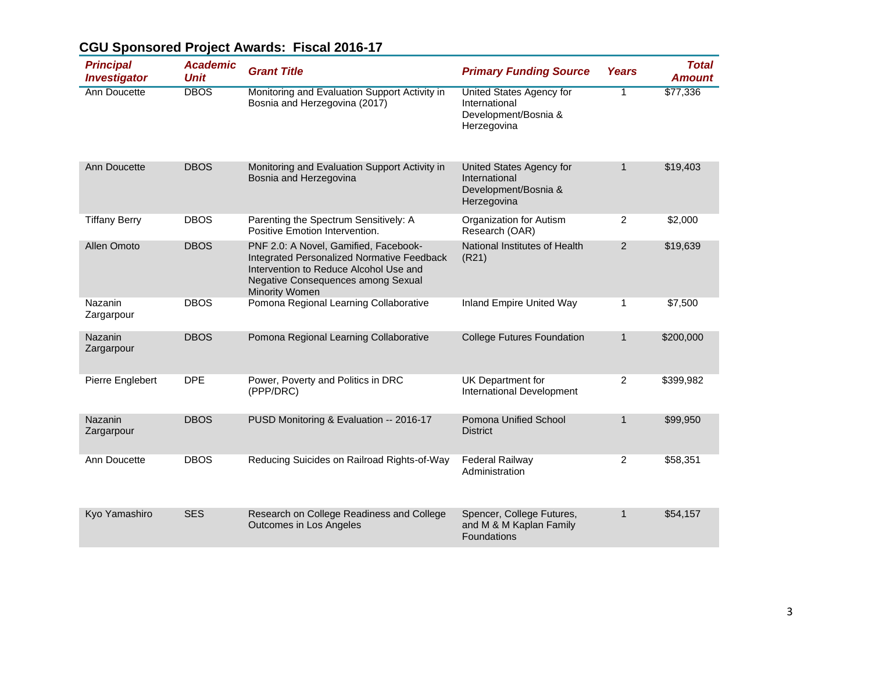| <b>Principal</b><br><b>Investigator</b> | <b>Academic</b><br><b>Unit</b> | <b>Grant Title</b>                                                                                                                                                                    | <b>Primary Funding Source</b>                                                           | <b>Years</b>   | <b>Total</b><br><b>Amount</b> |
|-----------------------------------------|--------------------------------|---------------------------------------------------------------------------------------------------------------------------------------------------------------------------------------|-----------------------------------------------------------------------------------------|----------------|-------------------------------|
| <b>Ann Doucette</b>                     | <b>DBOS</b>                    | Monitoring and Evaluation Support Activity in<br>Bosnia and Herzegovina (2017)                                                                                                        | <b>United States Agency for</b><br>International<br>Development/Bosnia &<br>Herzegovina | $\overline{1}$ | \$77,336                      |
| Ann Doucette                            | <b>DBOS</b>                    | Monitoring and Evaluation Support Activity in<br>Bosnia and Herzegovina                                                                                                               | United States Agency for<br>International<br>Development/Bosnia &<br>Herzegovina        | $\mathbf{1}$   | \$19,403                      |
| <b>Tiffany Berry</b>                    | <b>DBOS</b>                    | Parenting the Spectrum Sensitively: A<br>Positive Emotion Intervention.                                                                                                               | Organization for Autism<br>Research (OAR)                                               | 2              | \$2,000                       |
| Allen Omoto                             | <b>DBOS</b>                    | PNF 2.0: A Novel, Gamified, Facebook-<br>Integrated Personalized Normative Feedback<br>Intervention to Reduce Alcohol Use and<br>Negative Consequences among Sexual<br>Minority Women | National Institutes of Health<br>(R21)                                                  | $\overline{2}$ | \$19,639                      |
| Nazanin<br>Zargarpour                   | <b>DBOS</b>                    | Pomona Regional Learning Collaborative                                                                                                                                                | Inland Empire United Way                                                                | 1              | \$7,500                       |
| <b>Nazanin</b><br>Zargarpour            | <b>DBOS</b>                    | Pomona Regional Learning Collaborative                                                                                                                                                | <b>College Futures Foundation</b>                                                       | $\mathbf{1}$   | \$200,000                     |
| Pierre Englebert                        | <b>DPE</b>                     | Power, Poverty and Politics in DRC<br>(PPP/DRC)                                                                                                                                       | UK Department for<br>International Development                                          | $\overline{2}$ | \$399,982                     |
| <b>Nazanin</b><br>Zargarpour            | <b>DBOS</b>                    | PUSD Monitoring & Evaluation -- 2016-17                                                                                                                                               | Pomona Unified School<br><b>District</b>                                                | $\mathbf{1}$   | \$99,950                      |
| Ann Doucette                            | <b>DBOS</b>                    | Reducing Suicides on Railroad Rights-of-Way                                                                                                                                           | <b>Federal Railway</b><br>Administration                                                | 2              | \$58,351                      |
| Kyo Yamashiro                           | <b>SES</b>                     | Research on College Readiness and College<br>Outcomes in Los Angeles                                                                                                                  | Spencer, College Futures,<br>and M & M Kaplan Family<br>Foundations                     | $\mathbf{1}$   | \$54,157                      |